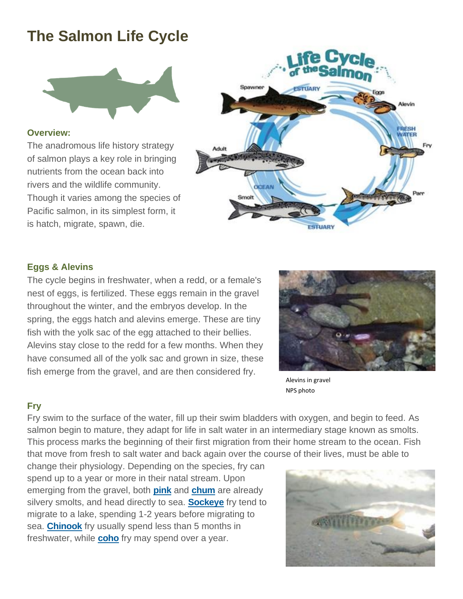# **The Salmon Life Cycle**



#### **Overview:**

The anadromous life history strategy of salmon plays a key role in bringing nutrients from the ocean back into rivers and the wildlife community. Though it varies among the species of Pacific salmon, in its simplest form, it is hatch, migrate, spawn, die.



#### **Eggs & Alevins**

The cycle begins in freshwater, when a redd, or a female's nest of eggs, is fertilized. These eggs remain in the gravel throughout the winter, and the embryos develop. In the spring, the eggs hatch and alevins emerge. These are tiny fish with the yolk sac of the egg attached to their bellies. Alevins stay close to the redd for a few months. When they have consumed all of the yolk sac and grown in size, these fish emerge from the gravel, and are then considered fry.



Alevins in gravel NPS photo

#### **Fry**

Fry swim to the surface of the water, fill up their swim bladders with oxygen, and begin to feed. As salmon begin to mature, they adapt for life in salt water in an intermediary stage known as smolts. This process marks the beginning of their first migration from their home stream to the ocean. Fish that move from fresh to salt water and back again over the course of their lives, must be able to

change their physiology. Depending on the species, fry can spend up to a year or more in their natal stream. Upon emerging from the gravel, both **[pink](https://home.nps.gov/olym/naturescience/pink-salmon.htm)** and **[chum](https://home.nps.gov/olym/naturescience/chum-salmon.htm)** are already silvery smolts, and head directly to sea. **[Sockeye](https://home.nps.gov/olym/naturescience/sockeye-salmon.htm)** fry tend to migrate to a lake, spending 1-2 years before migrating to sea. **[Chinook](https://home.nps.gov/olym/naturescience/chinook-salmon.htm)** fry usually spend less than 5 months in freshwater, while **[coho](https://home.nps.gov/olym/naturescience/coho-salmon.htm)** fry may spend over a year.

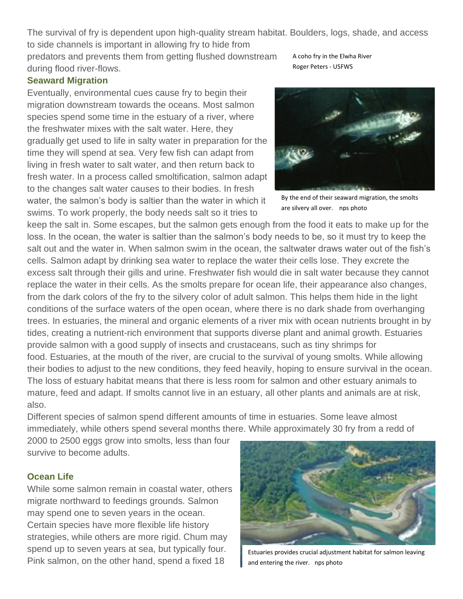The survival of fry is dependent upon high-quality stream habitat. Boulders, logs, shade, and access to side channels is important in allowing fry to hide from

predators and prevents them from getting flushed downstream during flood river-flows.

#### **Seaward Migration**

Eventually, environmental cues cause fry to begin their migration downstream towards the oceans. Most salmon species spend some time in the estuary of a river, where the freshwater mixes with the salt water. Here, they gradually get used to life in salty water in preparation for the time they will spend at sea. Very few fish can adapt from living in fresh water to salt water, and then return back to fresh water. In a process called smoltification, salmon adapt to the changes salt water causes to their bodies. In fresh water, the salmon's body is saltier than the water in which it swims. To work properly, the body needs salt so it tries to

A coho fry in the Elwha River Roger Peters - USFWS



By the end of their seaward migration, the smolts are silvery all over. nps photo

keep the salt in. Some escapes, but the salmon gets enough from the food it eats to make up for the loss. In the ocean, the water is saltier than the salmon's body needs to be, so it must try to keep the salt out and the water in. When salmon swim in the ocean, the saltwater draws water out of the fish's cells. Salmon adapt by drinking sea water to replace the water their cells lose. They excrete the excess salt through their gills and urine. Freshwater fish would die in salt water because they cannot replace the water in their cells. As the smolts prepare for ocean life, their appearance also changes, from the dark colors of the fry to the silvery color of adult salmon. This helps them hide in the light conditions of the surface waters of the open ocean, where there is no dark shade from overhanging trees. In estuaries, the mineral and organic elements of a river mix with ocean nutrients brought in by tides, creating a nutrient-rich environment that supports diverse plant and animal growth. Estuaries provide salmon with a good supply of insects and crustaceans, such as tiny shrimps for food. Estuaries, at the mouth of the river, are crucial to the survival of young smolts. While allowing their bodies to adjust to the new conditions, they feed heavily, hoping to ensure survival in the ocean. The loss of estuary habitat means that there is less room for salmon and other estuary animals to mature, feed and adapt. If smolts cannot live in an estuary, all other plants and animals are at risk, also.

Different species of salmon spend different amounts of time in estuaries. Some leave almost immediately, while others spend several months there. While approximately 30 fry from a redd of

2000 to 2500 eggs grow into smolts, less than four survive to become adults.

#### **Ocean Life**

While some salmon remain in coastal water, others migrate northward to feedings grounds. Salmon may spend one to seven years in the ocean. Certain species have more flexible life history strategies, while others are more rigid. Chum may spend up to seven years at sea, but typically four. Pink salmon, on the other hand, spend a fixed 18



Estuaries provides crucial adjustment habitat for salmon leaving and entering the river. nps photo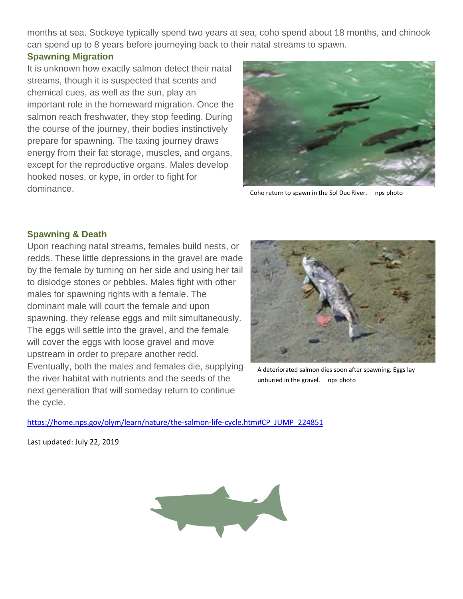months at sea. Sockeye typically spend two years at sea, coho spend about 18 months, and chinook can spend up to 8 years before journeying back to their natal streams to spawn.

#### **Spawning Migration**

It is unknown how exactly salmon detect their natal streams, though it is suspected that scents and chemical cues, as well as the sun, play an important role in the homeward migration. Once the salmon reach freshwater, they stop feeding. During the course of the journey, their bodies instinctively prepare for spawning. The taxing journey draws energy from their fat storage, muscles, and organs, except for the reproductive organs. Males develop hooked noses, or kype, in order to fight for dominance.



Coho return to spawn in the Sol Duc River. nps photo

#### **Spawning & Death**

Upon reaching natal streams, females build nests, or redds. These little depressions in the gravel are made by the female by turning on her side and using her tail to dislodge stones or pebbles. Males fight with other males for spawning rights with a female. The dominant male will court the female and upon spawning, they release eggs and milt simultaneously. The eggs will settle into the gravel, and the female will cover the eggs with loose gravel and move upstream in order to prepare another redd. Eventually, both the males and females die, supplying the river habitat with nutrients and the seeds of the next generation that will someday return to continue the cycle.



A deteriorated salmon dies soon after spawning. Eggs lay unburied in the gravel. nps photo

[https://home.nps.gov/olym/learn/nature/the-salmon-life-cycle.htm#CP\\_JUMP\\_224851](https://home.nps.gov/olym/learn/nature/the-salmon-life-cycle.htm#CP_JUMP_224851)

Last updated: July 22, 2019

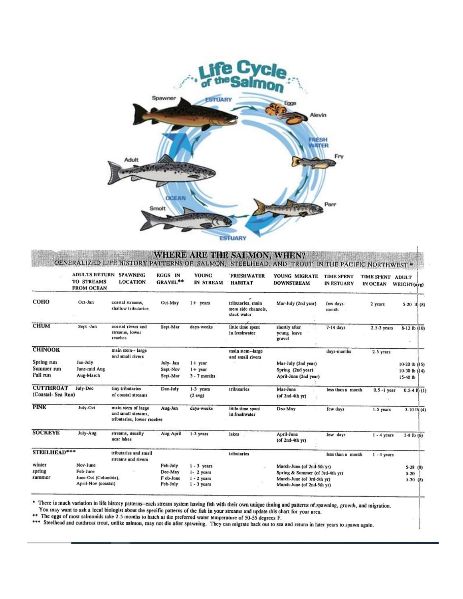

WHERE ARE THE SALMON, WHEN?<br>GENERALIZED LIFE HISTORY PATTERNS OF SALMON, STEELHEAD, AND TROUT IN THE PACIFIC NORTHWEST \*

| ŧ.                  | <b>ADULTS RETURN</b><br><b>TO STREAMS</b><br><b>FROM OCEAN</b> | <b>SPAWNING</b><br><b>LOCATION</b>                                     | <b>EGGS IN</b><br>GRAVEL** | <b>YOUNG</b><br><b>IN STREAM</b> | <b>FRESHWATER</b><br><b>HABITAT</b>                     | YOUNG MIGRATE<br><b>DOWNSTREAM</b>     | <b>TIME SPENT</b><br><b>IN ESTUARY</b> | <b>TIME SPENT</b><br><b>IN OCEAN</b> | <b>ADULT</b><br>WEIGHT(avg) |  |
|---------------------|----------------------------------------------------------------|------------------------------------------------------------------------|----------------------------|----------------------------------|---------------------------------------------------------|----------------------------------------|----------------------------------------|--------------------------------------|-----------------------------|--|
| COHO                | Oct-Jan                                                        | coastal streams.<br>shallow tributaries                                | Oct-May                    | $1 +$ years                      | tributaries, main<br>stem side channels,<br>slack water | Mar-July (2nd year)                    | few days-<br>month                     | 2 years                              | $5-20$ il $(8)$             |  |
| <b>CHUM</b>         | Sept -Jan                                                      | coastal rivers and<br>streams, lower<br>reaches                        | Sept-Mar                   | days-weeks                       | little time spent<br>in freshwater                      | shortly after<br>young leave<br>gravel | $7-14$ days                            | $2.5-3$ years                        | 8-12 lb (10)                |  |
| <b>CHINOOK</b>      |                                                                | main stem-- large<br>and small rivers                                  |                            |                                  | main stem-large<br>and small rivers                     |                                        | days-months                            | 2-5 years                            |                             |  |
| Spring run          | Jan-July                                                       |                                                                        | July- Jan                  | $1 +$ year                       |                                                         | Mar-July (2nd year)                    |                                        |                                      |                             |  |
| Summer run          | June-mid Aug                                                   |                                                                        | Sept-Nov                   | $1 +$ year                       |                                                         | Spring (2nd year)                      |                                        |                                      | 10-20 lb (15)               |  |
| Fall run            | Aug-March                                                      |                                                                        | Sept-Mar                   | $3 - 7$ months                   |                                                         | April-June (2nd year)                  |                                        |                                      | 10-30 lb (14)<br>15-40 lb   |  |
| <b>CUTTHROAT</b>    | July-Dec                                                       | tiny tributaries                                                       | Dec-July                   | 1-3 years                        | tributaries                                             | Mar-June                               | less than a month                      | $0.5 - 1$ year                       | $0.5-4$ lb $(1)$            |  |
| (Coastal- Sea Run)  |                                                                | of coastal streams                                                     |                            | $(2$ avg)                        |                                                         | $($ of 2nd-4th $yr)$                   |                                        |                                      |                             |  |
| <b>PINK</b>         | July-Oct                                                       | main stem of large<br>and small streams.<br>tributaries, lower reaches | Aug-Jan                    | days-weeks                       | little time spent<br>in freshwater                      | Dec-May                                | few days                               | 1.5 years                            | $3-10$ lb $(4)$             |  |
| <b>SOCKEYE</b>      | July-Aug                                                       | streams, usually<br>near lakes                                         | Aug-April                  | $1-3$ years                      | lakes                                                   | April-June<br>$($ of 2nd-4th $yr)$     | few days                               | $1 - 4$ years                        | $3-8$ lb $(6)$              |  |
| STEELHEAD***        |                                                                | tributaries and small<br>streams and rivers                            |                            |                                  | tributaries                                             |                                        | less than a month                      | $1 - 4$ years                        |                             |  |
| winter              | Nov-June                                                       |                                                                        | Peb-July                   | $1 - 3$ years                    |                                                         | March-June (of 2nd-5th'yr)             |                                        |                                      | $5-28$ (8)                  |  |
| spring              | Feb-June                                                       |                                                                        | Dec-May                    | $1 - 2$ years                    |                                                         | Spring & Summer (of 3rd-4th vr)        |                                        |                                      | $5-20$                      |  |
| summer              | June-Oct (Columbia),                                           |                                                                        | F eb-June                  | $1 - 2$ years                    |                                                         | March-June (of 3rd-5th yr)             |                                        |                                      | $5-30(8)$                   |  |
| April-Nov (coastal) |                                                                |                                                                        | Peb-July                   | $1 - 3$ years                    |                                                         | March-June (of 2nd-5th yr)             |                                        |                                      |                             |  |

\* There is much variation in life history patterns-each stream system having fish with their own unique timing and patterns of spawning, growth, and migration. There is much variation in the mstory patterns-each stream system naving tish with their own unique tishing and patterns of spawning, growin, and important to ask a local biologist about the specific patterns of the fish i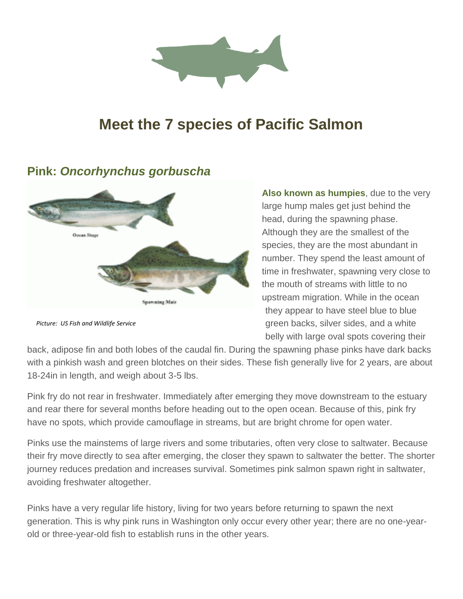

## **Meet the 7 species of Pacific Salmon**

# Occas Sing **Spawning Mair**

## **Pink:** *Oncorhynchus gorbuscha*

**Also known as humpies**, due to the very large hump males get just behind the head, during the spawning phase. Although they are the smallest of the species, they are the most abundant in number. They spend the least amount of time in freshwater, spawning very close to the mouth of streams with little to no upstream migration. While in the ocean they appear to have steel blue to blue green backs, silver sides, and a white belly with large oval spots covering their

back, adipose fin and both lobes of the caudal fin. During the spawning phase pinks have dark backs with a pinkish wash and green blotches on their sides. These fish generally live for 2 years, are about 18-24in in length, and weigh about 3-5 lbs.

Pink fry do not rear in freshwater. Immediately after emerging they move downstream to the estuary and rear there for several months before heading out to the open ocean. Because of this, pink fry have no spots, which provide camouflage in streams, but are bright chrome for open water.

Pinks use the mainstems of large rivers and some tributaries, often very close to saltwater. Because their fry move directly to sea after emerging, the closer they spawn to saltwater the better. The shorter journey reduces predation and increases survival. Sometimes pink salmon spawn right in saltwater, avoiding freshwater altogether.

Pinks have a very regular life history, living for two years before returning to spawn the next generation. This is why pink runs in Washington only occur every other year; there are no one-yearold or three-year-old fish to establish runs in the other years.

*Picture: US Fish and Wildlife Service*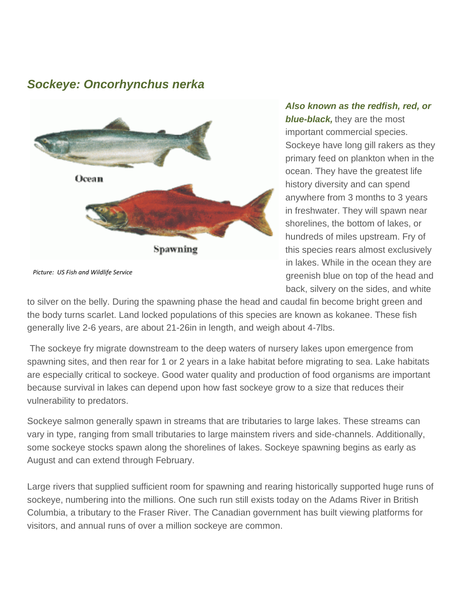## *Sockeye: Oncorhynchus nerka*



*Picture: US Fish and Wildlife Service*

#### *Also known as the redfish, red, or blue-black,* they are the most important commercial species. Sockeye have long gill rakers as they primary feed on plankton when in the ocean. They have the greatest life history diversity and can spend anywhere from 3 months to 3 years in freshwater. They will spawn near shorelines, the bottom of lakes, or hundreds of miles upstream. Fry of this species rears almost exclusively in lakes. While in the ocean they are greenish blue on top of the head and back, silvery on the sides, and white

to silver on the belly. During the spawning phase the head and caudal fin become bright green and the body turns scarlet. Land locked populations of this species are known as kokanee. These fish generally live 2-6 years, are about 21-26in in length, and weigh about 4-7lbs.

The sockeye fry migrate downstream to the deep waters of nursery lakes upon emergence from spawning sites, and then rear for 1 or 2 years in a lake habitat before migrating to sea. Lake habitats are especially critical to sockeye. Good water quality and production of food organisms are important because survival in lakes can depend upon how fast sockeye grow to a size that reduces their vulnerability to predators.

Sockeye salmon generally spawn in streams that are tributaries to large lakes. These streams can vary in type, ranging from small tributaries to large mainstem rivers and side-channels. Additionally, some sockeye stocks spawn along the shorelines of lakes. Sockeye spawning begins as early as August and can extend through February.

Large rivers that supplied sufficient room for spawning and rearing historically supported huge runs of sockeye, numbering into the millions. One such run still exists today on the Adams River in British Columbia, a tributary to the Fraser River. The Canadian government has built viewing platforms for visitors, and annual runs of over a million sockeye are common.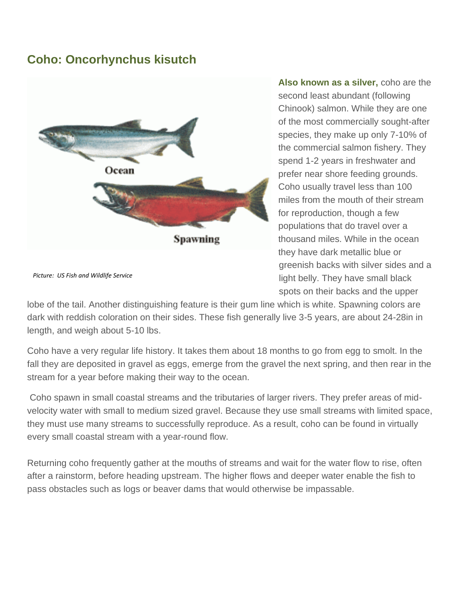## **Coho: Oncorhynchus kisutch**



*Picture: US Fish and Wildlife Service*

**Also known as a silver,** coho are the second least abundant (following Chinook) salmon. While they are one of the most commercially sought-after species, they make up only 7-10% of the commercial salmon fishery. They spend 1-2 years in freshwater and prefer near shore feeding grounds. Coho usually travel less than 100 miles from the mouth of their stream for reproduction, though a few populations that do travel over a thousand miles. While in the ocean they have dark metallic blue or greenish backs with silver sides and a light belly. They have small black spots on their backs and the upper

lobe of the tail. Another distinguishing feature is their gum line which is white. Spawning colors are dark with reddish coloration on their sides. These fish generally live 3-5 years, are about 24-28in in length, and weigh about 5-10 lbs.

Coho have a very regular life history. It takes them about 18 months to go from egg to smolt. In the fall they are deposited in gravel as eggs, emerge from the gravel the next spring, and then rear in the stream for a year before making their way to the ocean.

Coho spawn in small coastal streams and the tributaries of larger rivers. They prefer areas of midvelocity water with small to medium sized gravel. Because they use small streams with limited space, they must use many streams to successfully reproduce. As a result, coho can be found in virtually every small coastal stream with a year-round flow.

Returning coho frequently gather at the mouths of streams and wait for the water flow to rise, often after a rainstorm, before heading upstream. The higher flows and deeper water enable the fish to pass obstacles such as logs or beaver dams that would otherwise be impassable.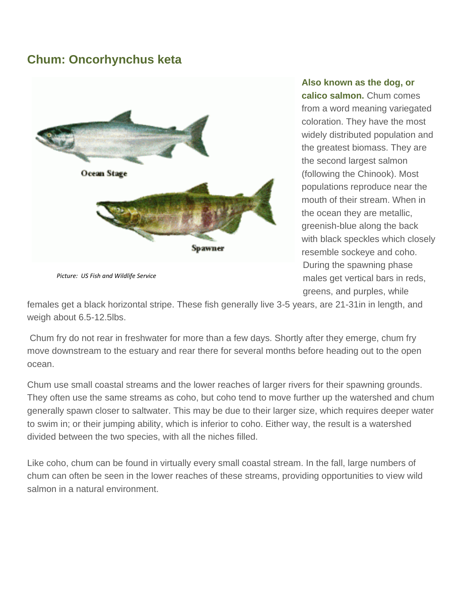## **Chum: Oncorhynchus keta**



*Picture: US Fish and Wildlife Service*

#### **Also known as the dog, or**

**calico salmon.** Chum comes from a word meaning variegated coloration. They have the most widely distributed population and the greatest biomass. They are the second largest salmon (following the Chinook). Most populations reproduce near the mouth of their stream. When in the ocean they are metallic, greenish-blue along the back with black speckles which closely resemble sockeye and coho. During the spawning phase males get vertical bars in reds, greens, and purples, while

females get a black horizontal stripe. These fish generally live 3-5 years, are 21-31in in length, and weigh about 6.5-12.5lbs.

Chum fry do not rear in freshwater for more than a few days. Shortly after they emerge, chum fry move downstream to the estuary and rear there for several months before heading out to the open ocean.

Chum use small coastal streams and the lower reaches of larger rivers for their spawning grounds. They often use the same streams as coho, but coho tend to move further up the watershed and chum generally spawn closer to saltwater. This may be due to their larger size, which requires deeper water to swim in; or their jumping ability, which is inferior to coho. Either way, the result is a watershed divided between the two species, with all the niches filled.

Like coho, chum can be found in virtually every small coastal stream. In the fall, large numbers of chum can often be seen in the lower reaches of these streams, providing opportunities to view wild salmon in a natural environment.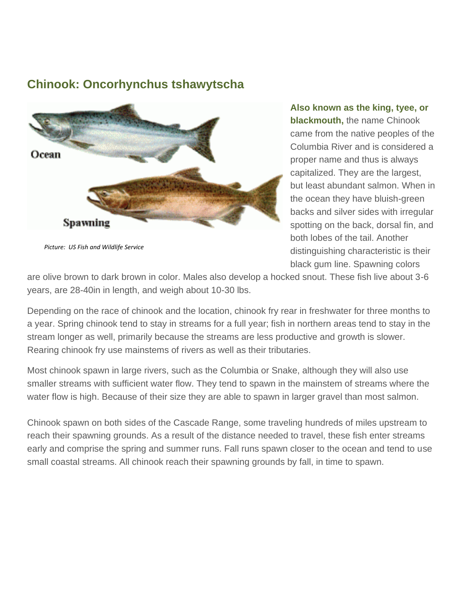## **Chinook: [Oncorhynchus tshawytscha](http://www.nmfs.noaa.gov/pr/species/fish/chinook-salmon.html)**



*Picture: US Fish and Wildlife Service*

#### **Also known as the king, tyee, or blackmouth,** the name Chinook came from the native peoples of the Columbia River and is considered a proper name and thus is always capitalized. They are the largest, but least abundant salmon. When in the ocean they have bluish-green backs and silver sides with irregular spotting on the back, dorsal fin, and both lobes of the tail. Another distinguishing characteristic is their black gum line. Spawning colors

are olive brown to dark brown in color. Males also develop a hocked snout. These fish live about 3-6 years, are 28-40in in length, and weigh about 10-30 lbs.

Depending on the race of chinook and the location, chinook fry rear in freshwater for three months to a year. Spring chinook tend to stay in streams for a full year; fish in northern areas tend to stay in the stream longer as well, primarily because the streams are less productive and growth is slower. Rearing chinook fry use mainstems of rivers as well as their tributaries.

Most chinook spawn in large rivers, such as the Columbia or Snake, although they will also use smaller streams with sufficient water flow. They tend to spawn in the mainstem of streams where the water flow is high. Because of their size they are able to spawn in larger gravel than most salmon.

Chinook spawn on both sides of the Cascade Range, some traveling hundreds of miles upstream to reach their spawning grounds. As a result of the distance needed to travel, these fish enter streams early and comprise the spring and summer runs. Fall runs spawn closer to the ocean and tend to use small coastal streams. All chinook reach their spawning grounds by fall, in time to spawn.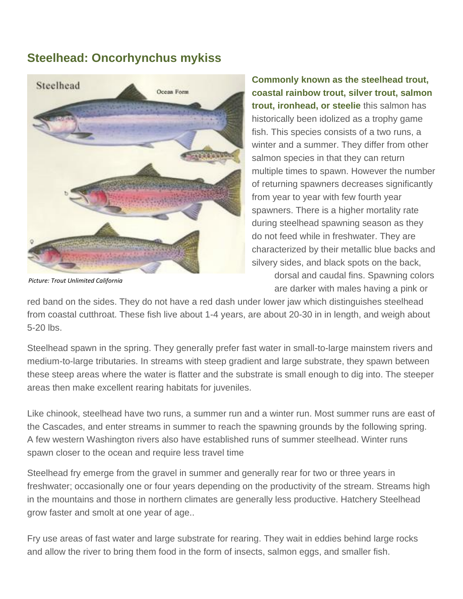## **Steelhead: Oncorhynchus mykiss**



*[Picture: Trout Unlimited California](https://spsseg.org/wp-content/uploads/2012/03/meet-the-species-steelhead.jpg)*

**Commonly known as the steelhead trout, coastal rainbow trout, silver trout, salmon trout, ironhead, or steelie** this salmon has historically been idolized as a trophy game fish. This species consists of a two runs, a winter and a summer. They differ from other salmon species in that they can return multiple times to spawn. However the number of returning spawners decreases significantly from year to year with few fourth year spawners. There is a higher mortality rate during steelhead spawning season as they do not feed while in freshwater. They are characterized by their metallic blue backs and silvery sides, and black spots on the back, dorsal and caudal fins. Spawning colors are darker with males having a pink or

red band on the sides. They do not have a red dash under lower jaw which distinguishes steelhead from coastal cutthroat. These fish live about 1-4 years, are about 20-30 in in length, and weigh about 5-20 lbs.

Steelhead spawn in the spring. They generally prefer fast water in small-to-large mainstem rivers and medium-to-large tributaries. In streams with steep gradient and large substrate, they spawn between these steep areas where the water is flatter and the substrate is small enough to dig into. The steeper areas then make excellent rearing habitats for juveniles.

Like chinook, steelhead have two runs, a summer run and a winter run. Most summer runs are east of the Cascades, and enter streams in summer to reach the spawning grounds by the following spring. A few western Washington rivers also have established runs of summer steelhead. Winter runs spawn closer to the ocean and require less travel time

Steelhead fry emerge from the gravel in summer and generally rear for two or three years in freshwater; occasionally one or four years depending on the productivity of the stream. Streams high in the mountains and those in northern climates are generally less productive. Hatchery Steelhead grow faster and smolt at one year of age..

Fry use areas of fast water and large substrate for rearing. They wait in eddies behind large rocks and allow the river to bring them food in the form of insects, salmon eggs, and smaller fish.